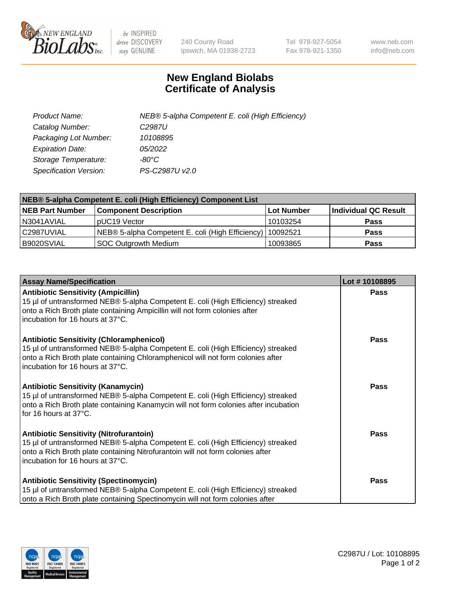

 $be$  INSPIRED drive DISCOVERY stay GENUINE

240 County Road Ipswich, MA 01938-2723 Tel 978-927-5054 Fax 978-921-1350 www.neb.com info@neb.com

## **New England Biolabs Certificate of Analysis**

| Product Name:           | NEB® 5-alpha Competent E. coli (High Efficiency) |
|-------------------------|--------------------------------------------------|
| Catalog Number:         | C <sub>2987</sub> U                              |
| Packaging Lot Number:   | 10108895                                         |
| <b>Expiration Date:</b> | 05/2022                                          |
| Storage Temperature:    | -80°C                                            |
| Specification Version:  | PS-C2987U v2.0                                   |

| NEB® 5-alpha Competent E. coli (High Efficiency) Component List |                                                  |            |                      |  |
|-----------------------------------------------------------------|--------------------------------------------------|------------|----------------------|--|
| <b>NEB Part Number</b>                                          | <b>Component Description</b>                     | Lot Number | Individual QC Result |  |
| N3041AVIAL                                                      | pUC19 Vector                                     | 10103254   | <b>Pass</b>          |  |
| C2987UVIAL                                                      | NEB® 5-alpha Competent E. coli (High Efficiency) | 10092521   | <b>Pass</b>          |  |
| B9020SVIAL                                                      | <b>SOC Outgrowth Medium</b>                      | 10093865   | <b>Pass</b>          |  |

| <b>Assay Name/Specification</b>                                                                                                                                                                                                                            | Lot #10108895 |
|------------------------------------------------------------------------------------------------------------------------------------------------------------------------------------------------------------------------------------------------------------|---------------|
| <b>Antibiotic Sensitivity (Ampicillin)</b><br>15 µl of untransformed NEB® 5-alpha Competent E. coli (High Efficiency) streaked<br>onto a Rich Broth plate containing Ampicillin will not form colonies after<br>incubation for 16 hours at 37°C.           | <b>Pass</b>   |
| <b>Antibiotic Sensitivity (Chloramphenicol)</b><br>15 µl of untransformed NEB® 5-alpha Competent E. coli (High Efficiency) streaked<br>onto a Rich Broth plate containing Chloramphenicol will not form colonies after<br>incubation for 16 hours at 37°C. | Pass          |
| Antibiotic Sensitivity (Kanamycin)<br>15 µl of untransformed NEB® 5-alpha Competent E. coli (High Efficiency) streaked<br>onto a Rich Broth plate containing Kanamycin will not form colonies after incubation<br>for 16 hours at 37°C.                    | Pass          |
| <b>Antibiotic Sensitivity (Nitrofurantoin)</b><br>15 µl of untransformed NEB® 5-alpha Competent E. coli (High Efficiency) streaked<br>onto a Rich Broth plate containing Nitrofurantoin will not form colonies after<br>incubation for 16 hours at 37°C.   | <b>Pass</b>   |
| <b>Antibiotic Sensitivity (Spectinomycin)</b><br>15 µl of untransformed NEB® 5-alpha Competent E. coli (High Efficiency) streaked<br>onto a Rich Broth plate containing Spectinomycin will not form colonies after                                         | Pass          |